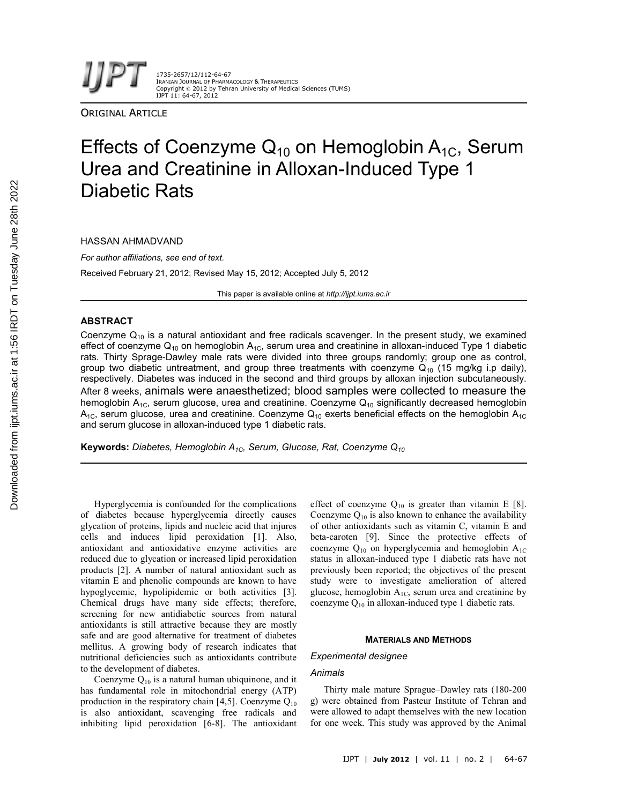1735-2657/12/112-64-67 IRANIAN JOURNAL OF PHARMACOLOGY & THERAPEUTICS Copyright © 2012 by Tehran University of Medical Sciences (TUMS) IJPT 11: 64-67, 2012

**ORIGINAL ARTICLE** 

# Effects of Coenzyme  $Q_{10}$  on Hemoglobin  $A_{1C}$ , Serum Urea and Creatinine in Alloxan-Induced Type 1 Diabetic Rats

HASSAN AHMADVAND

*For author affiliations, see end of text.* Received February 21, 2012; Revised May 15, 2012; Accepted July 5, 2012

This paper is available online at *http://ijpt.iums.ac.ir*

## **ABSTRACT**

Coenzyme  $Q_{10}$  is a natural antioxidant and free radicals scavenger. In the present study, we examined effect of coenzyme  $Q_{10}$  on hemoglobin  $A_{1C}$ , serum urea and creatinine in alloxan-induced Type 1 diabetic rats. Thirty Sprage-Dawley male rats were divided into three groups randomly; group one as control, group two diabetic untreatment, and group three treatments with coenzyme  $Q_{10}$  (15 mg/kg i.p daily), respectively. Diabetes was induced in the second and third groups by alloxan injection subcutaneously. After 8 weeks, animals were anaesthetized; blood samples were collected to measure the hemoglobin  $A_{1C}$ , serum glucose, urea and creatinine. Coenzyme  $Q_{10}$  significantly decreased hemoglobin  $A_{1C}$ , serum glucose, urea and creatinine. Coenzyme  $Q_{10}$  exerts beneficial effects on the hemoglobin  $A_{1C}$ and serum glucose in alloxan-induced type 1 diabetic rats.

**Keywords:** *Diabetes, Hemoglobin A1C, Serum, Glucose, Rat, Coenzyme Q<sup>10</sup>*

Hyperglycemia is confounded for the complications of diabetes because hyperglycemia directly causes glycation of proteins, lipids and nucleic acid that injures cells and induces lipid peroxidation [1]. Also, antioxidant and antioxidative enzyme activities are reduced due to glycation or increased lipid peroxidation products [2]. A number of natural antioxidant such as vitamin E and phenolic compounds are known to have hypoglycemic, hypolipidemic or both activities [3]. Chemical drugs have many side effects; therefore, screening for new antidiabetic sources from natural antioxidants is still attractive because they are mostly safe and are good alternative for treatment of diabetes mellitus. A growing body of research indicates that nutritional deficiencies such as antioxidants contribute to the development of diabetes.

Coenzyme  $Q_{10}$  is a natural human ubiquinone, and it has fundamental role in mitochondrial energy (ATP) production in the respiratory chain [4,5]. Coenzyme  $Q_{10}$ is also antioxidant, scavenging free radicals and inhibiting lipid peroxidation [6-8]. The antioxidant effect of coenzyme  $Q_{10}$  is greater than vitamin E [8]. Coenzyme  $Q_{10}$  is also known to enhance the availability of other antioxidants such as vitamin C, vitamin E and beta-caroten [9]. Since the protective effects of coenzyme  $Q_{10}$  on hyperglycemia and hemoglobin  $A_{1C}$ status in alloxan-induced type 1 diabetic rats have not previously been reported; the objectives of the present study were to investigate amelioration of altered glucose, hemoglobin  $A_{1C}$ , serum urea and creatinine by coenzyme  $Q_{10}$  in alloxan-induced type 1 diabetic rats.

#### **MATERIALS AND METHODS**

#### *Experimental designee*

## *Animals*

Thirty male mature Sprague–Dawley rats (180-200 g) were obtained from Pasteur Institute of Tehran and were allowed to adapt themselves with the new location for one week. This study was approved by the Animal

Downloaded from ijpt.iums.ac.ir at 1:56 IRDT on Tuesday June 28th 2022 [Downloaded from ijpt.iums.ac.ir at 1:56 IRDT on Tuesday June 28th 2022](http://ijpt.iums.ac.ir/article-1-245-en.html)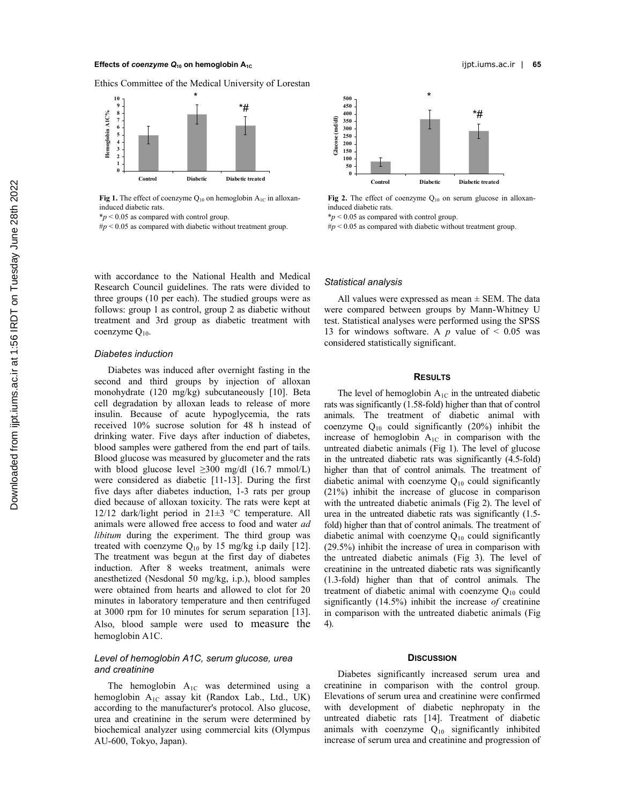## **Effects of** *coenzyme* **Q<sub>10</sub> on hemoglobin A<sub>1C</sub> is a contract of the set of the set of the set of the set of the set of the set of the set of the set of the set of the set of the set of the set of the set of the set of th**

Ethics Committee of the Medical University of Lorestan



**Fig 1.** The effect of coenzyme  $Q_{10}$  on hemoglobin  $A_{1C}$  in alloxaninduced diabetic rats.

\**p* < 0.05 as compared with control group.

#*p* < 0.05 as compared with diabetic without treatment group.



Fig 2. The effect of coenzyme Q<sub>10</sub> on serum glucose in alloxaninduced diabetic rats.

\**p* < 0.05 as compared with control group.

#*p* < 0.05 as compared with diabetic without treatment group.

with accordance to the National Health and Medical Research Council guidelines. The rats were divided to three groups (10 per each). The studied groups were as follows: group 1 as control, group 2 as diabetic without treatment and 3rd group as diabetic treatment with coenzyme O<sub>10</sub>.

## *Diabetes induction*

Diabetes was induced after overnight fasting in the second and third groups by injection of alloxan monohydrate (120 mg/kg) subcutaneously [10]. Beta cell degradation by alloxan leads to release of more insulin. Because of acute hypoglycemia, the rats received 10% sucrose solution for 48 h instead of drinking water. Five days after induction of diabetes, blood samples were gathered from the end part of tails. Blood glucose was measured by glucometer and the rats with blood glucose level  $\geq 300$  mg/dl (16.7 mmol/L) were considered as diabetic [11-13]. During the first five days after diabetes induction, 1-3 rats per group died because of alloxan toxicity. The rats were kept at 12/12 dark/light period in 21±3 °C temperature. All animals were allowed free access to food and water *ad libitum* during the experiment. The third group was treated with coenzyme  $Q_{10}$  by 15 mg/kg i.p daily [12]. The treatment was begun at the first day of diabetes induction. After 8 weeks treatment, animals were anesthetized (Nesdonal 50 mg/kg, i.p.), blood samples were obtained from hearts and allowed to clot for 20 minutes in laboratory temperature and then centrifuged at 3000 rpm for 10 minutes for serum separation [13]. Also, blood sample were used to measure the hemoglobin A1C.

# *Level of hemoglobin A1C, serum glucose, urea and creatinine*

The hemoglobin  $A_{1C}$  was determined using a hemoglobin A<sub>1C</sub> assay kit (Randox Lab., Ltd., UK) according to the manufacturer's protocol. Also glucose, urea and creatinine in the serum were determined by biochemical analyzer using commercial kits (Olympus AU-600, Tokyo, Japan).

## *Statistical analysis*

All values were expressed as mean  $\pm$  SEM. The data were compared between groups by Mann-Whitney U test. Statistical analyses were performed using the SPSS 13 for windows software. A  $p$  value of  $\leq$  0.05 was considered statistically significant.

#### **RESULTS**

The level of hemoglobin  $A_{1C}$  in the untreated diabetic rats was significantly (1.58-fold) higher than that of control animals. The treatment of diabetic animal with coenzyme  $Q_{10}$  could significantly (20%) inhibit the increase of hemoglobin  $A_{1C}$  in comparison with the untreated diabetic animals (Fig 1). The level of glucose in the untreated diabetic rats was significantly (4.5-fold) higher than that of control animals. The treatment of diabetic animal with coenzyme  $Q_{10}$  could significantly (21%) inhibit the increase of glucose in comparison with the untreated diabetic animals (Fig 2). The level of urea in the untreated diabetic rats was significantly (1.5 fold) higher than that of control animals. The treatment of diabetic animal with coenzyme  $Q_{10}$  could significantly (29.5%) inhibit the increase of urea in comparison with the untreated diabetic animals (Fig 3). The level of creatinine in the untreated diabetic rats was significantly (1.3-fold) higher than that of control animals. The treatment of diabetic animal with coenzyme  $Q_{10}$  could significantly (14.5%) inhibit the increase *of* creatinine in comparison with the untreated diabetic animals (Fig 4).

## **DISCUSSION**

Diabetes significantly increased serum urea and creatinine in comparison with the control group. Elevations of serum urea and creatinine were confirmed with development of diabetic nephropaty in the untreated diabetic rats [14]. Treatment of diabetic animals with coenzyme  $Q_{10}$  significantly inhibited increase of serum urea and creatinine and progression of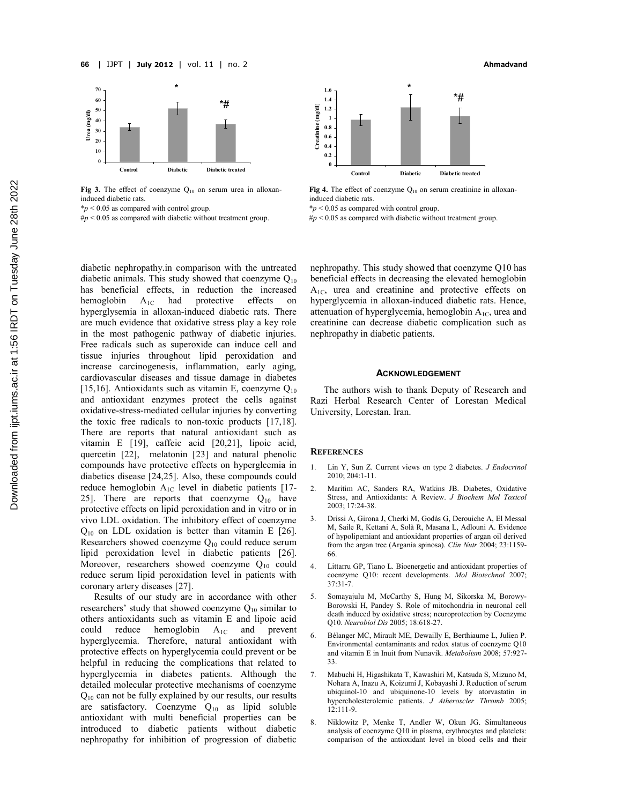

Fig 3. The effect of coenzyme Q<sub>10</sub> on serum urea in alloxaninduced diabetic rats.

\**p* < 0.05 as compared with control group.

#*p* < 0.05 as compared with diabetic without treatment group.



Fig 4. The effect of coenzyme Q<sub>10</sub> on serum creatinine in alloxaninduced diabetic rats.

\**p* < 0.05 as compared with control group.

#*p* < 0.05 as compared with diabetic without treatment group.

diabetic nephropathy.in comparison with the untreated diabetic animals. This study showed that coenzyme  $Q_{10}$ has beneficial effects, in reduction the increased hemoglobin  $A_{1C}$  had protective effects on hyperglysemia in alloxan-induced diabetic rats. There are much evidence that oxidative stress play a key role in the most pathogenic pathway of diabetic injuries. Free radicals such as superoxide can induce cell and tissue injuries throughout lipid peroxidation and increase carcinogenesis, inflammation, early aging, cardiovascular diseases and tissue damage in diabetes [15,16]. Antioxidants such as vitamin E, coenzyme  $O_{10}$ and antioxidant enzymes protect the cells against oxidative-stress-mediated cellular injuries by converting the toxic free radicals to non-toxic products [17,18]. There are reports that natural antioxidant such as vitamin E [19], caffeic acid [20,21], lipoic acid, quercetin [22], melatonin [23] and natural phenolic compounds have protective effects on hyperglcemia in diabetics disease [24,25]. Also, these compounds could reduce hemoglobin  $A_{1C}$  level in diabetic patients [17-25]. There are reports that coenzyme  $Q_{10}$  have protective effects on lipid peroxidation and in vitro or in vivo LDL oxidation. The inhibitory effect of coenzyme  $Q_{10}$  on LDL oxidation is better than vitamin E [26]. Researchers showed coenzyme  $Q_{10}$  could reduce serum lipid peroxidation level in diabetic patients [26]. Moreover, researchers showed coenzyme Q<sub>10</sub> could reduce serum lipid peroxidation level in patients with coronary artery diseases [27].

Results of our study are in accordance with other researchers' study that showed coenzyme  $Q_{10}$  similar to others antioxidants such as vitamin E and lipoic acid could reduce hemoglobin  $A_{1C}$  and prevent could reduce hemoglobin  $A_{1C}$  and prevent hyperglycemia. Therefore, natural antioxidant with protective effects on hyperglycemia could prevent or be helpful in reducing the complications that related to hyperglycemia in diabetes patients. Although the detailed molecular protective mechanisms of coenzyme  $Q_{10}$  can not be fully explained by our results, our results are satisfactory. Coenzyme  $Q_{10}$  as lipid soluble antioxidant with multi beneficial properties can be introduced to diabetic patients without diabetic nephropathy for inhibition of progression of diabetic

nephropathy. This study showed that coenzyme Q10 has beneficial effects in decreasing the elevated hemoglobin A1C, urea and creatinine and protective effects on hyperglycemia in alloxan-induced diabetic rats. Hence, attenuation of hyperglycemia, hemoglobin  $A_{1C}$ , urea and creatinine can decrease diabetic complication such as nephropathy in diabetic patients.

#### **ACKNOWLEDGEMENT**

The authors wish to thank Deputy of Research and Razi Herbal Research Center of Lorestan Medical University, Lorestan. Iran.

## **REFERENCES**

- 1. Lin Y, Sun Z. Current views on type 2 diabetes. *J Endocrinol* 2010; 204:1-11.
- 2. Maritim AC, Sanders RA, Watkins JB. Diabetes, Oxidative Stress, and Antioxidants: A Review. *J Biochem Mol Toxicol* 2003; 17:24-38.
- 3. Drissi A, Girona J, Cherki M, Godàs G, Derouiche A, El Messal M, Saile R, Kettani A, Solà R, Masana L, Adlouni A. Evidence of hypolipemiant and antioxidant properties of argan oil derived from the argan tree (Argania spinosa). *Clin Nutr* 2004; 23:1159- 66.
- 4. Littarru GP, Tiano L. Bioenergetic and antioxidant properties of coenzyme Q10: recent developments. *Mol Biotechnol* 2007; 37:31-7.
- 5. Somayajulu M, McCarthy S, Hung M, Sikorska M, Borowy-Borowski H, Pandey S. Role of mitochondria in neuronal cell death induced by oxidative stress; neuroprotection by Coenzyme Q10. *Neurobiol Dis* 2005; 18:618-27.
- 6. Bélanger MC, Mirault ME, Dewailly E, Berthiaume L, Julien P. Environmental contaminants and redox status of coenzyme Q10 and vitamin E in Inuit from Nunavik. *Metabolism* 2008; 57:927- 33.
- 7. Mabuchi H, Higashikata T, Kawashiri M, Katsuda S, Mizuno M, Nohara A, Inazu A, Koizumi J, Kobayashi J. Reduction of serum ubiquinol-10 and ubiquinone-10 levels by atorvastatin in hypercholesterolemic patients. *J Atheroscler Thromb* 2005; 12:111-9.
- 8. Niklowitz P, Menke T, Andler W, Okun JG. Simultaneous analysis of coenzyme Q10 in plasma, erythrocytes and platelets: comparison of the antioxidant level in blood cells and their